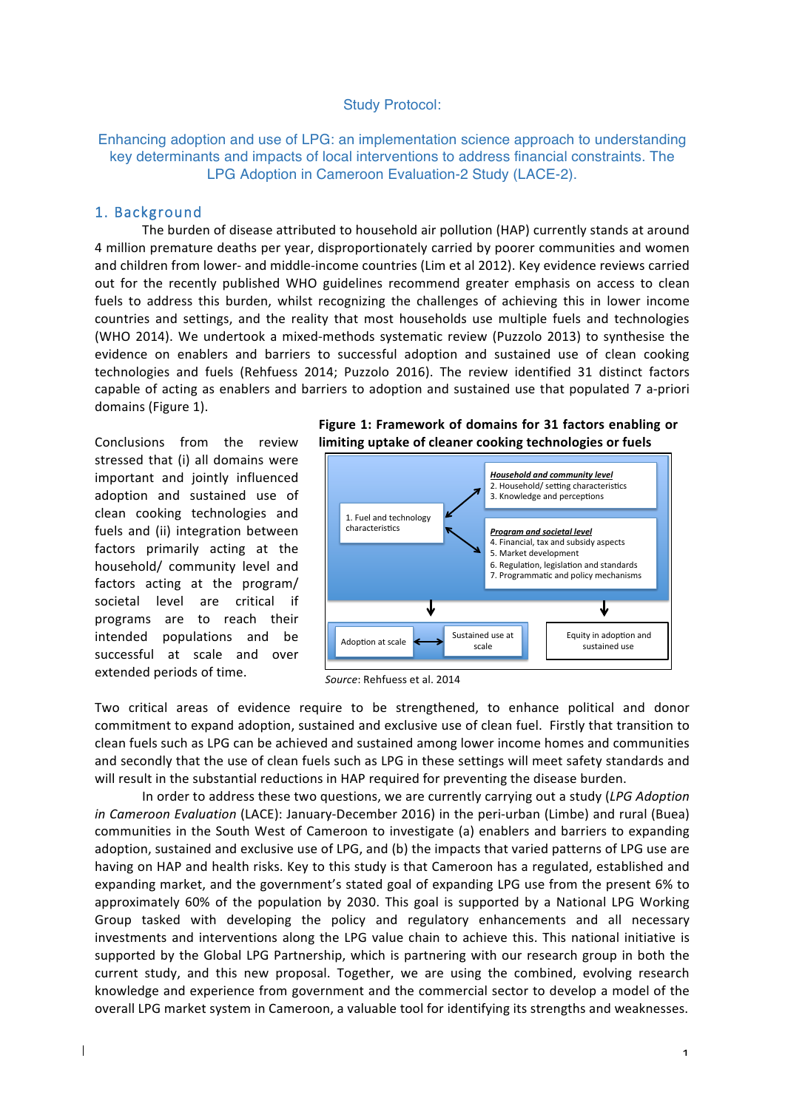#### Study Protocol:

Enhancing adoption and use of LPG: an implementation science approach to understanding key determinants and impacts of local interventions to address financial constraints. The LPG Adoption in Cameroon Evaluation-2 Study (LACE-2).

#### 1. Background

The burden of disease attributed to household air pollution (HAP) currently stands at around 4 million premature deaths per year, disproportionately carried by poorer communities and women and children from lower- and middle-income countries (Lim et al 2012). Key evidence reviews carried out for the recently published WHO guidelines recommend greater emphasis on access to clean fuels to address this burden, whilst recognizing the challenges of achieving this in lower income countries and settings, and the reality that most households use multiple fuels and technologies (WHO 2014). We undertook a mixed-methods systematic review (Puzzolo 2013) to synthesise the evidence on enablers and barriers to successful adoption and sustained use of clean cooking technologies and fuels (Rehfuess 2014; Puzzolo 2016). The review identified 31 distinct factors capable of acting as enablers and barriers to adoption and sustained use that populated 7 a-priori domains (Figure 1).

Conclusions from the review stressed that (i) all domains were important and jointly influenced adoption and sustained use of clean cooking technologies and fuels and (ii) integration between factors primarily acting at the household/ community level and factors acting at the program/ societal level are critical if programs are to reach their intended populations and be successful at scale and over extended periods of time.

Figure 1: Framework of domains for 31 factors enabling or **limiting uptake of cleaner cooking technologies or fuels** 



Source: Rehfuess et al. 2014

Two critical areas of evidence require to be strengthened, to enhance political and donor commitment to expand adoption, sustained and exclusive use of clean fuel. Firstly that transition to clean fuels such as LPG can be achieved and sustained among lower income homes and communities and secondly that the use of clean fuels such as LPG in these settings will meet safety standards and will result in the substantial reductions in HAP required for preventing the disease burden.

In order to address these two questions, we are currently carrying out a study (*LPG Adoption in Cameroon Evaluation* (LACE): January-December 2016) in the peri-urban (Limbe) and rural (Buea) communities in the South West of Cameroon to investigate (a) enablers and barriers to expanding adoption, sustained and exclusive use of LPG, and (b) the impacts that varied patterns of LPG use are having on HAP and health risks. Key to this study is that Cameroon has a regulated, established and expanding market, and the government's stated goal of expanding LPG use from the present 6% to approximately 60% of the population by 2030. This goal is supported by a National LPG Working Group tasked with developing the policy and regulatory enhancements and all necessary investments and interventions along the LPG value chain to achieve this. This national initiative is supported by the Global LPG Partnership, which is partnering with our research group in both the current study, and this new proposal. Together, we are using the combined, evolving research knowledge and experience from government and the commercial sector to develop a model of the overall LPG market system in Cameroon, a valuable tool for identifying its strengths and weaknesses.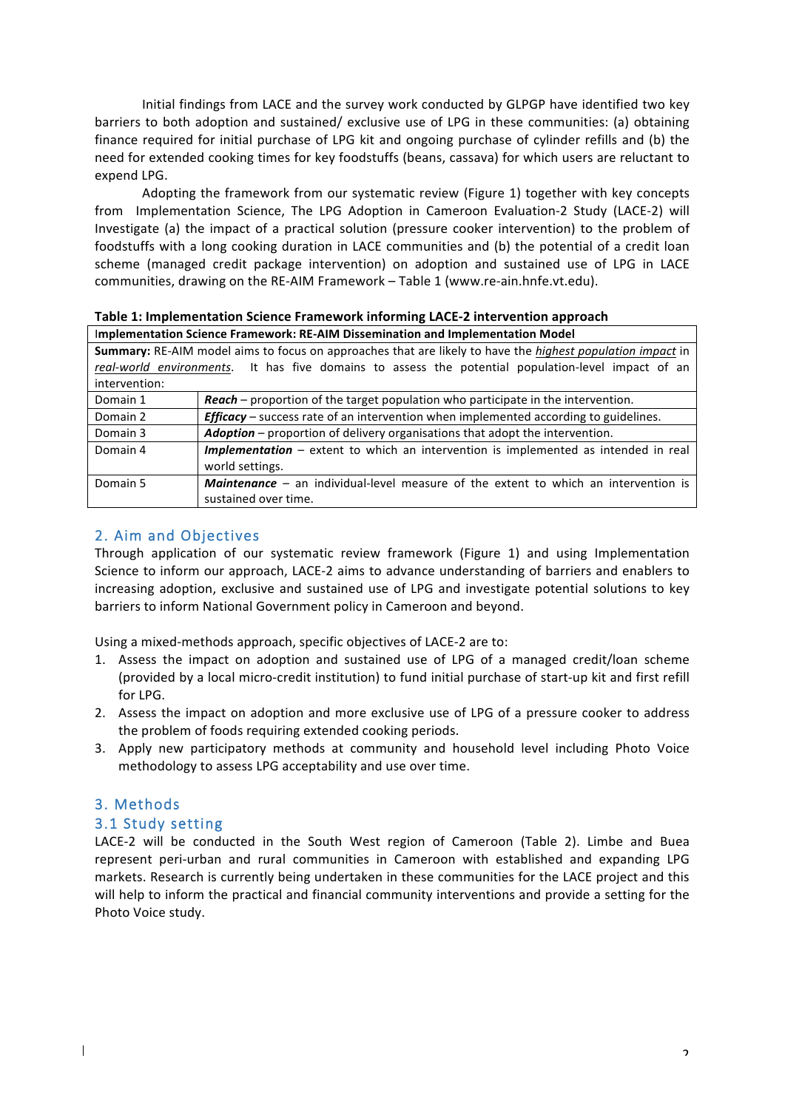Initial findings from LACE and the survey work conducted by GLPGP have identified two key barriers to both adoption and sustained/ exclusive use of LPG in these communities: (a) obtaining finance required for initial purchase of LPG kit and ongoing purchase of cylinder refills and (b) the need for extended cooking times for key foodstuffs (beans, cassava) for which users are reluctant to expend LPG.

Adopting the framework from our systematic review (Figure 1) together with key concepts from Implementation Science, The LPG Adoption in Cameroon Evaluation-2 Study (LACE-2) will Investigate (a) the impact of a practical solution (pressure cooker intervention) to the problem of foodstuffs with a long cooking duration in LACE communities and (b) the potential of a credit loan scheme (managed credit package intervention) on adoption and sustained use of LPG in LACE communities, drawing on the RE-AIM Framework - Table 1 (www.re-ain.hnfe.vt.edu).

**Table 1: Implementation Science Framework informing LACE-2 intervention approach** 

| Implementation Science Framework: RE-AIM Dissemination and Implementation Model                                          |                                                                                                    |  |  |  |  |  |  |  |
|--------------------------------------------------------------------------------------------------------------------------|----------------------------------------------------------------------------------------------------|--|--|--|--|--|--|--|
| <b>Summary:</b> RE-AIM model aims to focus on approaches that are likely to have the <i>highest population impact</i> in |                                                                                                    |  |  |  |  |  |  |  |
|                                                                                                                          | real-world environments. It has five domains to assess the potential population-level impact of an |  |  |  |  |  |  |  |
| intervention:                                                                                                            |                                                                                                    |  |  |  |  |  |  |  |
| Domain 1                                                                                                                 | <b>Reach</b> – proportion of the target population who participate in the intervention             |  |  |  |  |  |  |  |

| Domain 1 | Reach – proportion of the target population who participate in the intervention.            |  |  |  |  |
|----------|---------------------------------------------------------------------------------------------|--|--|--|--|
| Domain 2 | <b>Efficacy</b> – success rate of an intervention when implemented according to guidelines. |  |  |  |  |
| Domain 3 | Adoption - proportion of delivery organisations that adopt the intervention.                |  |  |  |  |
| Domain 4 | Implementation - extent to which an intervention is implemented as intended in real         |  |  |  |  |
|          | world settings.                                                                             |  |  |  |  |
| Domain 5 | <b>Maintenance</b> – an individual-level measure of the extent to which an intervention is  |  |  |  |  |
|          | sustained over time.                                                                        |  |  |  |  |

# 2. Aim and Objectives

Through application of our systematic review framework (Figure 1) and using Implementation Science to inform our approach, LACE-2 aims to advance understanding of barriers and enablers to increasing adoption, exclusive and sustained use of LPG and investigate potential solutions to key barriers to inform National Government policy in Cameroon and beyond.

Using a mixed-methods approach, specific objectives of LACE-2 are to:

- 1. Assess the impact on adoption and sustained use of LPG of a managed credit/loan scheme (provided by a local micro-credit institution) to fund initial purchase of start-up kit and first refill for LPG.
- 2. Assess the impact on adoption and more exclusive use of LPG of a pressure cooker to address the problem of foods requiring extended cooking periods.
- 3. Apply new participatory methods at community and household level including Photo Voice methodology to assess LPG acceptability and use over time.

## 3. Methods

## 3.1 Study setting

LACE-2 will be conducted in the South West region of Cameroon (Table 2). Limbe and Buea represent peri-urban and rural communities in Cameroon with established and expanding LPG markets. Research is currently being undertaken in these communities for the LACE project and this will help to inform the practical and financial community interventions and provide a setting for the Photo Voice study.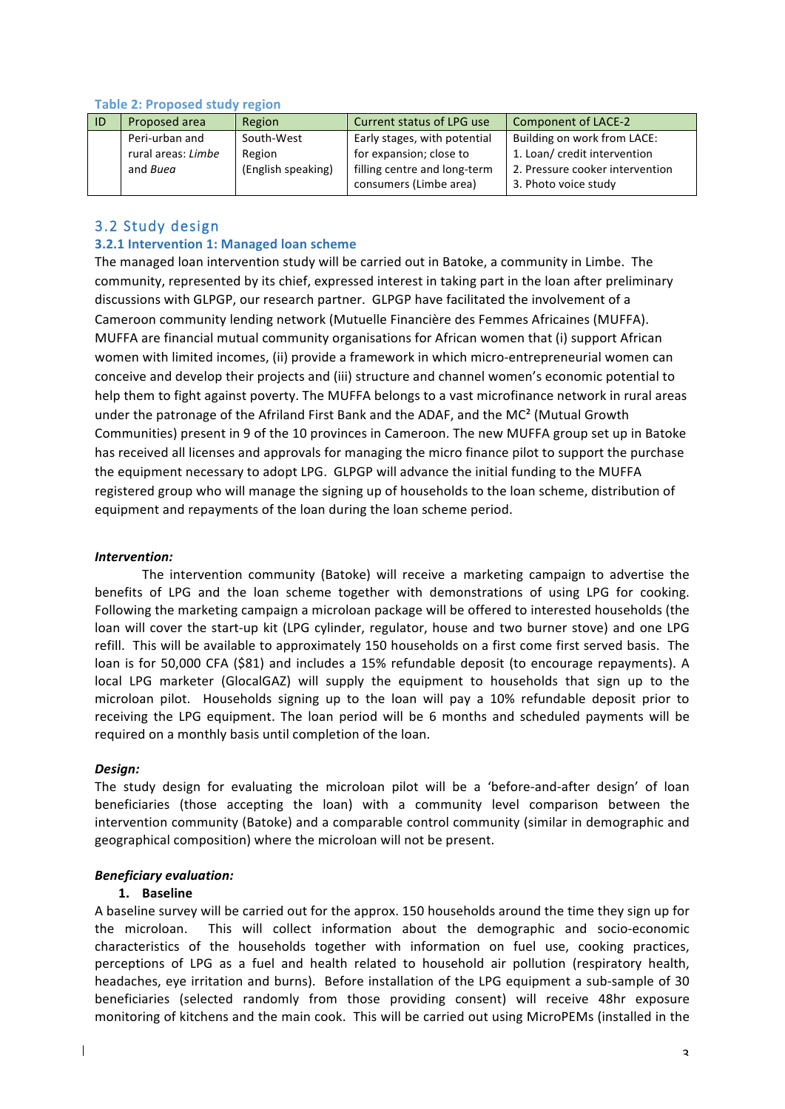| ID | Proposed area      | Region             | Current status of LPG use    | Component of LACE-2             |
|----|--------------------|--------------------|------------------------------|---------------------------------|
|    | Peri-urban and     | South-West         | Early stages, with potential | Building on work from LACE:     |
|    | rural areas: Limbe | Region             | for expansion; close to      | 1. Loan/ credit intervention    |
|    | and Buea           | (English speaking) | filling centre and long-term | 2. Pressure cooker intervention |
|    |                    |                    | consumers (Limbe area)       | 3. Photo voice study            |

### **Table 2: Proposed study region**

## 3.2 Study design

### **3.2.1 Intervention 1: Managed loan scheme**

The managed loan intervention study will be carried out in Batoke, a community in Limbe. The community, represented by its chief, expressed interest in taking part in the loan after preliminary discussions with GLPGP, our research partner. GLPGP have facilitated the involvement of a Cameroon community lending network (Mutuelle Financière des Femmes Africaines (MUFFA). MUFFA are financial mutual community organisations for African women that (i) support African women with limited incomes, (ii) provide a framework in which micro-entrepreneurial women can conceive and develop their projects and (iii) structure and channel women's economic potential to help them to fight against poverty. The MUFFA belongs to a vast microfinance network in rural areas under the patronage of the Afriland First Bank and the ADAF, and the  $MC<sup>2</sup>$  (Mutual Growth Communities) present in 9 of the 10 provinces in Cameroon. The new MUFFA group set up in Batoke has received all licenses and approvals for managing the micro finance pilot to support the purchase the equipment necessary to adopt LPG. GLPGP will advance the initial funding to the MUFFA registered group who will manage the signing up of households to the loan scheme, distribution of equipment and repayments of the loan during the loan scheme period.

#### *Intervention:*

The intervention community (Batoke) will receive a marketing campaign to advertise the benefits of LPG and the loan scheme together with demonstrations of using LPG for cooking. Following the marketing campaign a microloan package will be offered to interested households (the loan will cover the start-up kit (LPG cylinder, regulator, house and two burner stove) and one LPG refill. This will be available to approximately 150 households on a first come first served basis. The loan is for 50,000 CFA (\$81) and includes a 15% refundable deposit (to encourage repayments). A local LPG marketer (GlocalGAZ) will supply the equipment to households that sign up to the microloan pilot. Households signing up to the loan will pay a 10% refundable deposit prior to receiving the LPG equipment. The loan period will be 6 months and scheduled payments will be required on a monthly basis until completion of the loan.

### *Design:*

The study design for evaluating the microloan pilot will be a 'before-and-after design' of loan beneficiaries (those accepting the loan) with a community level comparison between the intervention community (Batoke) and a comparable control community (similar in demographic and geographical composition) where the microloan will not be present.

### *Beneficiary evaluation:*

### **1. Baseline**

A baseline survey will be carried out for the approx. 150 households around the time they sign up for the microloan. This will collect information about the demographic and socio-economic characteristics of the households together with information on fuel use, cooking practices, perceptions of LPG as a fuel and health related to household air pollution (respiratory health, headaches, eye irritation and burns). Before installation of the LPG equipment a sub-sample of 30 beneficiaries (selected randomly from those providing consent) will receive 48hr exposure monitoring of kitchens and the main cook. This will be carried out using MicroPEMs (installed in the

 $\mathbf{I}$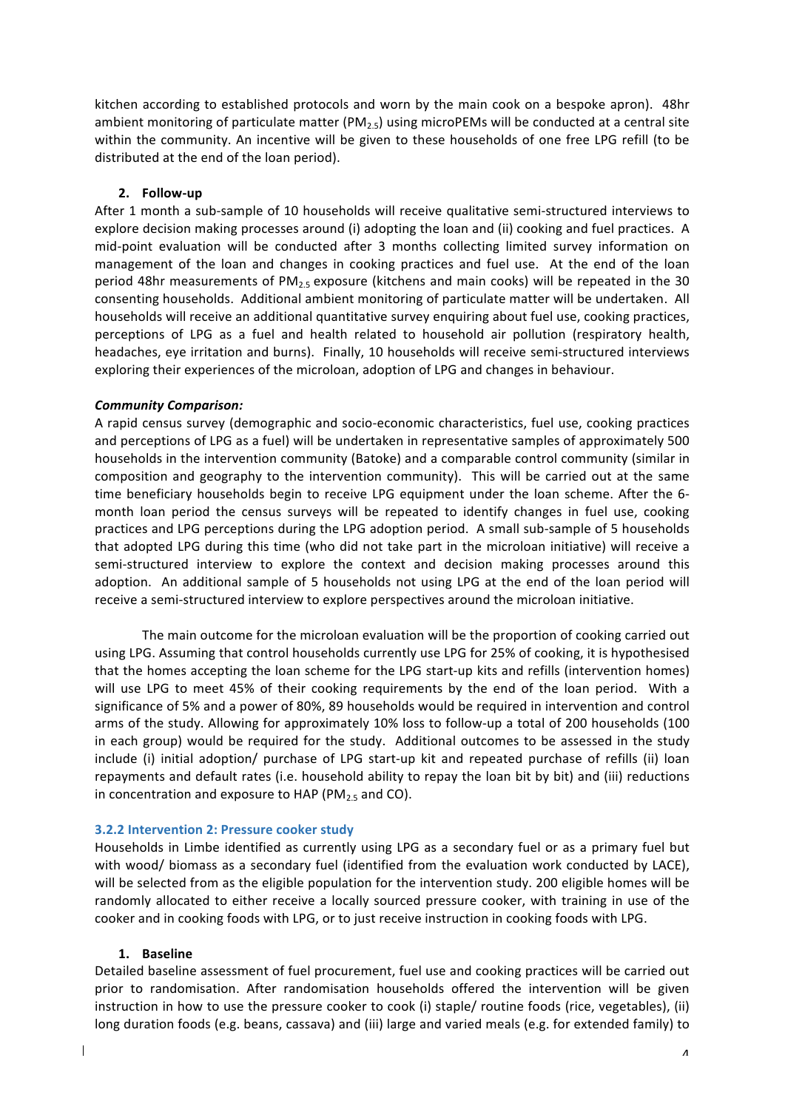kitchen according to established protocols and worn by the main cook on a bespoke apron). 48hr ambient monitoring of particulate matter (PM<sub>2.5</sub>) using microPEMs will be conducted at a central site within the community. An incentive will be given to these households of one free LPG refill (to be distributed at the end of the loan period).

#### **2. Follow-up**

After 1 month a sub-sample of 10 households will receive qualitative semi-structured interviews to explore decision making processes around (i) adopting the loan and (ii) cooking and fuel practices. A mid-point evaluation will be conducted after 3 months collecting limited survey information on management of the loan and changes in cooking practices and fuel use. At the end of the loan period 48hr measurements of PM<sub>2.5</sub> exposure (kitchens and main cooks) will be repeated in the 30 consenting households. Additional ambient monitoring of particulate matter will be undertaken. All households will receive an additional quantitative survey enquiring about fuel use, cooking practices, perceptions of LPG as a fuel and health related to household air pollution (respiratory health, headaches, eye irritation and burns). Finally, 10 households will receive semi-structured interviews exploring their experiences of the microloan, adoption of LPG and changes in behaviour.

#### *Community Comparison:*

A rapid census survey (demographic and socio-economic characteristics, fuel use, cooking practices and perceptions of LPG as a fuel) will be undertaken in representative samples of approximately 500 households in the intervention community (Batoke) and a comparable control community (similar in composition and geography to the intervention community). This will be carried out at the same time beneficiary households begin to receive LPG equipment under the loan scheme. After the 6month loan period the census surveys will be repeated to identify changes in fuel use, cooking practices and LPG perceptions during the LPG adoption period. A small sub-sample of 5 households that adopted LPG during this time (who did not take part in the microloan initiative) will receive a semi-structured interview to explore the context and decision making processes around this adoption. An additional sample of 5 households not using LPG at the end of the loan period will receive a semi-structured interview to explore perspectives around the microloan initiative.

The main outcome for the microloan evaluation will be the proportion of cooking carried out using LPG. Assuming that control households currently use LPG for 25% of cooking, it is hypothesised that the homes accepting the loan scheme for the LPG start-up kits and refills (intervention homes) will use LPG to meet 45% of their cooking requirements by the end of the loan period. With a significance of 5% and a power of 80%, 89 households would be required in intervention and control arms of the study. Allowing for approximately 10% loss to follow-up a total of 200 households (100 in each group) would be required for the study. Additional outcomes to be assessed in the study include (i) initial adoption/ purchase of LPG start-up kit and repeated purchase of refills (ii) loan repayments and default rates (i.e. household ability to repay the loan bit by bit) and (iii) reductions in concentration and exposure to HAP (PM<sub>2.5</sub> and CO).

#### **3.2.2 Intervention 2: Pressure cooker study**

Households in Limbe identified as currently using LPG as a secondary fuel or as a primary fuel but with wood/ biomass as a secondary fuel (identified from the evaluation work conducted by LACE), will be selected from as the eligible population for the intervention study. 200 eligible homes will be randomly allocated to either receive a locally sourced pressure cooker, with training in use of the cooker and in cooking foods with LPG, or to just receive instruction in cooking foods with LPG.

#### **1. Baseline**

 $\mathbf{I}$ 

Detailed baseline assessment of fuel procurement, fuel use and cooking practices will be carried out prior to randomisation. After randomisation households offered the intervention will be given instruction in how to use the pressure cooker to cook (i) staple/ routine foods (rice, vegetables), (ii) long duration foods (e.g. beans, cassava) and (iii) large and varied meals (e.g. for extended family) to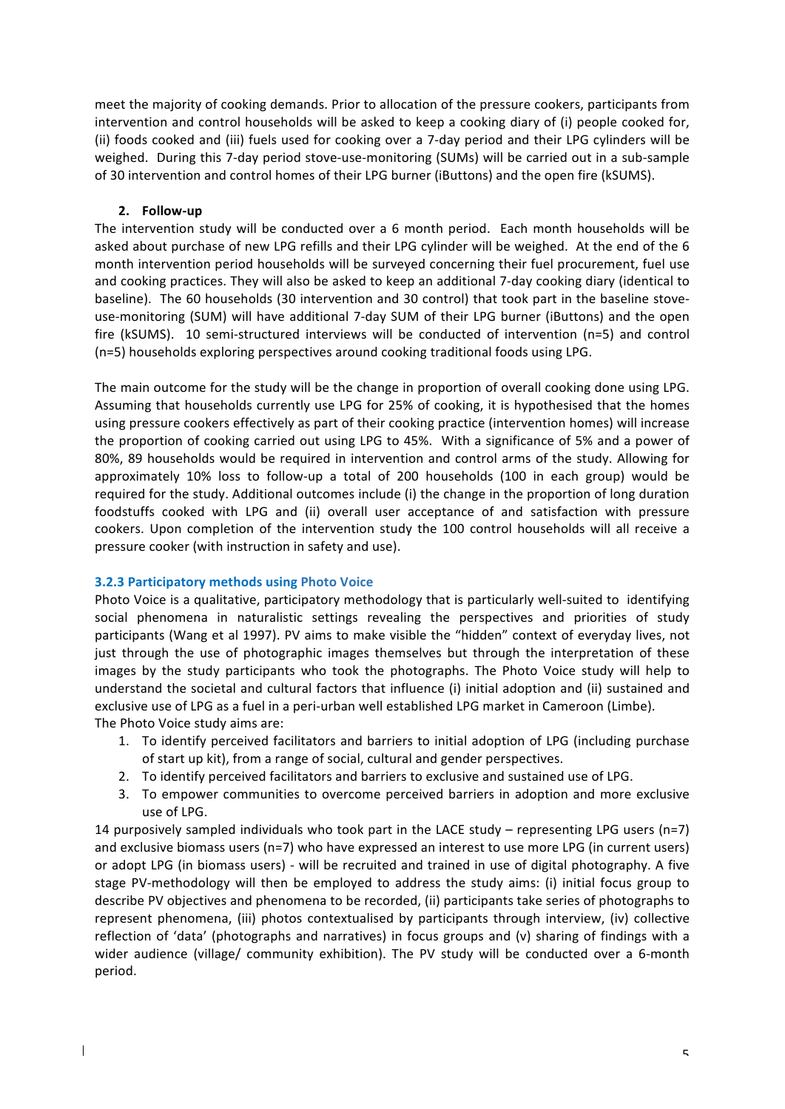meet the majority of cooking demands. Prior to allocation of the pressure cookers, participants from intervention and control households will be asked to keep a cooking diary of (i) people cooked for, (ii) foods cooked and (iii) fuels used for cooking over a 7-day period and their LPG cylinders will be weighed. During this 7-day period stove-use-monitoring (SUMs) will be carried out in a sub-sample of 30 intervention and control homes of their LPG burner (iButtons) and the open fire (kSUMS).

### **2. Follow-up**

The intervention study will be conducted over a 6 month period. Each month households will be asked about purchase of new LPG refills and their LPG cylinder will be weighed. At the end of the 6 month intervention period households will be surveyed concerning their fuel procurement, fuel use and cooking practices. They will also be asked to keep an additional 7-day cooking diary (identical to baseline). The 60 households (30 intervention and 30 control) that took part in the baseline stoveuse-monitoring (SUM) will have additional 7-day SUM of their LPG burner (iButtons) and the open fire (kSUMS). 10 semi-structured interviews will be conducted of intervention (n=5) and control (n=5) households exploring perspectives around cooking traditional foods using LPG.

The main outcome for the study will be the change in proportion of overall cooking done using LPG. Assuming that households currently use LPG for 25% of cooking, it is hypothesised that the homes using pressure cookers effectively as part of their cooking practice (intervention homes) will increase the proportion of cooking carried out using LPG to 45%. With a significance of 5% and a power of 80%, 89 households would be required in intervention and control arms of the study. Allowing for approximately 10% loss to follow-up a total of 200 households (100 in each group) would be required for the study. Additional outcomes include (i) the change in the proportion of long duration foodstuffs cooked with LPG and (ii) overall user acceptance of and satisfaction with pressure cookers. Upon completion of the intervention study the 100 control households will all receive a pressure cooker (with instruction in safety and use).

### **3.2.3 Participatory methods using Photo Voice**

 $\overline{1}$ 

Photo Voice is a qualitative, participatory methodology that is particularly well-suited to identifying social phenomena in naturalistic settings revealing the perspectives and priorities of study participants (Wang et al 1997). PV aims to make visible the "hidden" context of everyday lives, not just through the use of photographic images themselves but through the interpretation of these images by the study participants who took the photographs. The Photo Voice study will help to understand the societal and cultural factors that influence (i) initial adoption and (ii) sustained and exclusive use of LPG as a fuel in a peri-urban well established LPG market in Cameroon (Limbe). The Photo Voice study aims are:

- 1. To identify perceived facilitators and barriers to initial adoption of LPG (including purchase of start up kit), from a range of social, cultural and gender perspectives.
- 2. To identify perceived facilitators and barriers to exclusive and sustained use of LPG.
- 3. To empower communities to overcome perceived barriers in adoption and more exclusive use of LPG.

14 purposively sampled individuals who took part in the LACE study – representing LPG users (n=7) and exclusive biomass users (n=7) who have expressed an interest to use more LPG (in current users) or adopt LPG (in biomass users) - will be recruited and trained in use of digital photography. A five stage PV-methodology will then be employed to address the study aims: (i) initial focus group to describe PV objectives and phenomena to be recorded, (ii) participants take series of photographs to represent phenomena, (iii) photos contextualised by participants through interview, (iv) collective reflection of 'data' (photographs and narratives) in focus groups and  $(v)$  sharing of findings with a wider audience (village/ community exhibition). The PV study will be conducted over a 6-month period.